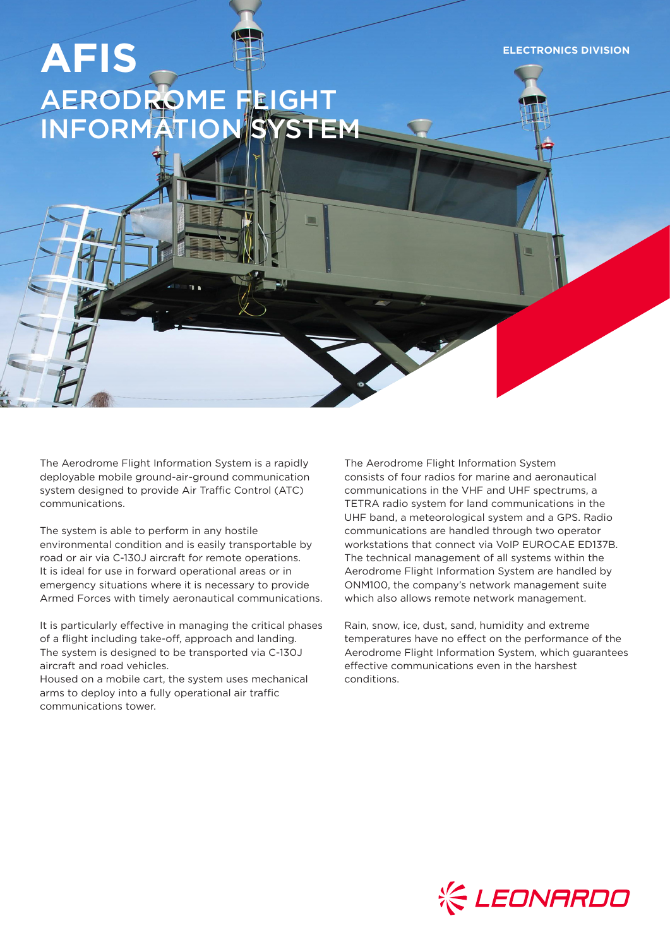**ELECTRONICS DIVISION**

# **AFIS** AERODROME FLIGHT INFORMATION SYSTEM

The Aerodrome Flight Information System is a rapidly deployable mobile ground-air-ground communication system designed to provide Air Traffic Control (ATC) communications.

The system is able to perform in any hostile environmental condition and is easily transportable by road or air via C-130J aircraft for remote operations. It is ideal for use in forward operational areas or in emergency situations where it is necessary to provide Armed Forces with timely aeronautical communications.

It is particularly effective in managing the critical phases of a flight including take-off, approach and landing. The system is designed to be transported via C-130J aircraft and road vehicles.

Housed on a mobile cart, the system uses mechanical arms to deploy into a fully operational air traffic communications tower.

The Aerodrome Flight Information System consists of four radios for marine and aeronautical communications in the VHF and UHF spectrums, a TETRA radio system for land communications in the UHF band, a meteorological system and a GPS. Radio communications are handled through two operator workstations that connect via VoIP EUROCAE ED137B. The technical management of all systems within the Aerodrome Flight Information System are handled by ONM100, the company's network management suite which also allows remote network management.

Rain, snow, ice, dust, sand, humidity and extreme temperatures have no effect on the performance of the Aerodrome Flight Information System, which guarantees effective communications even in the harshest conditions.